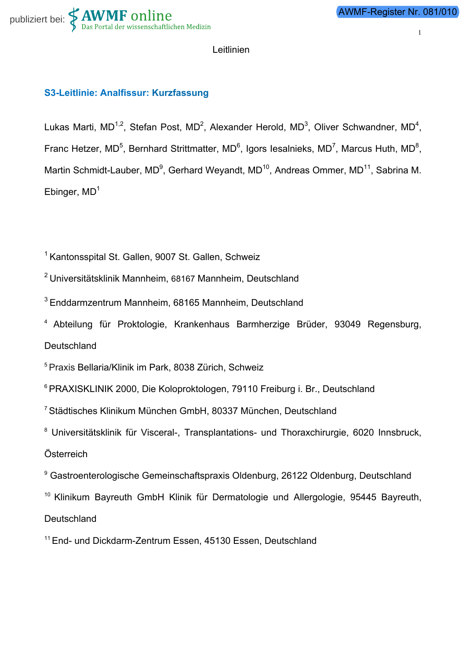

1

Leitlinien

## **S3-Leitlinie: Analfissur: Kurzfassung**

Lukas Marti, MD<sup>1,2</sup>, Stefan Post, MD<sup>2</sup>, Alexander Herold, MD<sup>3</sup>, Oliver Schwandner, MD<sup>4</sup>, Franc Hetzer, MD<sup>5</sup>, Bernhard Strittmatter, MD<sup>6</sup>, Igors Iesalnieks, MD<sup>7</sup>, Marcus Huth, MD<sup>8</sup>, Martin Schmidt-Lauber, MD<sup>9</sup>, Gerhard Weyandt, MD<sup>10</sup>, Andreas Ommer, MD<sup>11</sup>, Sabrina M. Ebinger,  $MD<sup>1</sup>$ 

<sup>1</sup> Kantonsspital St. Gallen, 9007 St. Gallen, Schweiz

<sup>2</sup> Universitätsklinik Mannheim, 68167 Mannheim, Deutschland

3 Enddarmzentrum Mannheim, 68165 Mannheim, Deutschland

<sup>4</sup> Abteilung für Proktologie, Krankenhaus Barmherzige Brüder, 93049 Regensburg, **Deutschland** 

5 Praxis Bellaria/Klinik im Park, 8038 Zürich, Schweiz

6 PRAXISKLINIK 2000, Die Koloproktologen, 79110 Freiburg i. Br., Deutschland

7 Städtisches Klinikum München GmbH, 80337 München, Deutschland

<sup>8</sup> Universitätsklinik für Visceral-, Transplantations- und Thoraxchirurgie, 6020 Innsbruck, Österreich

<sup>9</sup> Gastroenterologische Gemeinschaftspraxis Oldenburg, 26122 Oldenburg, Deutschland

<sup>10</sup> Klinikum Bayreuth GmbH Klinik für Dermatologie und Allergologie, 95445 Bayreuth,

**Deutschland** 

<sup>11</sup> End- und Dickdarm-Zentrum Essen, 45130 Essen, Deutschland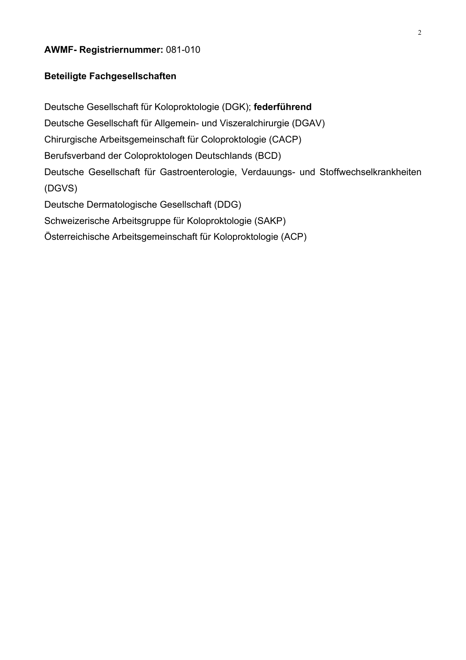#### **AWMF- Registriernummer:** 081-010

#### **Beteiligte Fachgesellschaften**

Deutsche Gesellschaft für Koloproktologie (DGK); **federführend** Deutsche Gesellschaft für Allgemein- und Viszeralchirurgie (DGAV) Chirurgische Arbeitsgemeinschaft für Coloproktologie (CACP) Berufsverband der Coloproktologen Deutschlands (BCD) Deutsche Gesellschaft für Gastroenterologie, Verdauungs- und Stoffwechselkrankheiten (DGVS) Deutsche Dermatologische Gesellschaft (DDG) Schweizerische Arbeitsgruppe für Koloproktologie (SAKP) Österreichische Arbeitsgemeinschaft für Koloproktologie (ACP)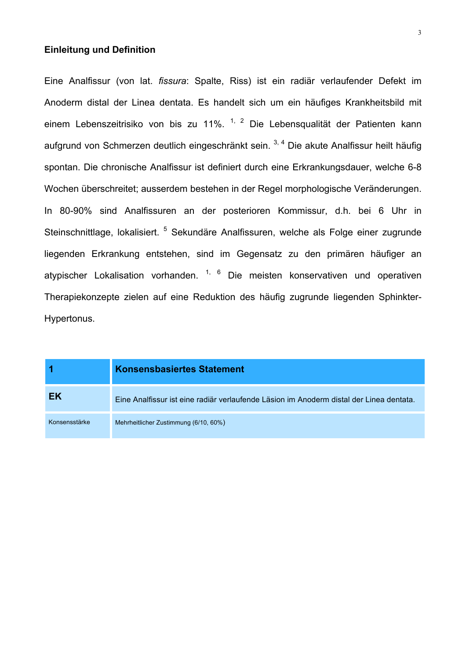#### **Einleitung und Definition**

Eine Analfissur (von lat. *fissura*: Spalte, Riss) ist ein radiär verlaufender Defekt im Anoderm distal der Linea dentata. Es handelt sich um ein häufiges Krankheitsbild mit einem Lebenszeitrisiko von bis zu 11%.  $1/2$  Die Lebensqualität der Patienten kann aufgrund von Schmerzen deutlich eingeschränkt sein. <sup>3, 4</sup> Die akute Analfissur heilt häufig spontan. Die chronische Analfissur ist definiert durch eine Erkrankungsdauer, welche 6-8 Wochen überschreitet; ausserdem bestehen in der Regel morphologische Veränderungen. In 80-90% sind Analfissuren an der posterioren Kommissur, d.h. bei 6 Uhr in Steinschnittlage, lokalisiert. <sup>5</sup> Sekundäre Analfissuren, welche als Folge einer zugrunde liegenden Erkrankung entstehen, sind im Gegensatz zu den primären häufiger an atypischer Lokalisation vorhanden.  $1, 6$  Die meisten konservativen und operativen Therapiekonzepte zielen auf eine Reduktion des häufig zugrunde liegenden Sphinkter-Hypertonus.

|               | <b>Konsensbasiertes Statement</b>                                                       |
|---------------|-----------------------------------------------------------------------------------------|
| EK            | Eine Analfissur ist eine radiär verlaufende Läsion im Anoderm distal der Linea dentata. |
| Konsensstärke | Mehrheitlicher Zustimmung (6/10, 60%)                                                   |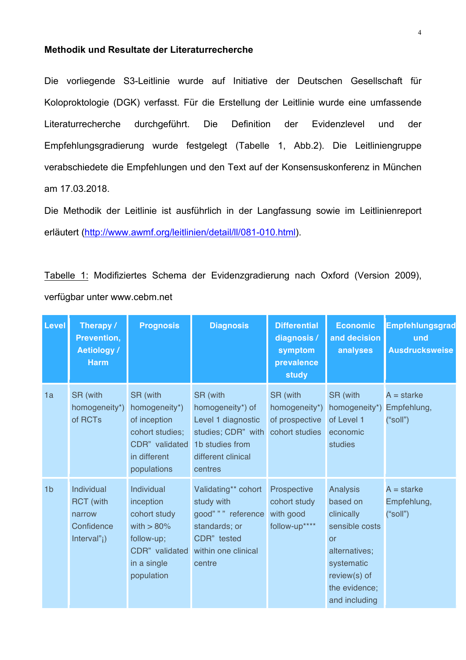#### **Methodik und Resultate der Literaturrecherche**

Die vorliegende S3-Leitlinie wurde auf Initiative der Deutschen Gesellschaft für Koloproktologie (DGK) verfasst. Für die Erstellung der Leitlinie wurde eine umfassende Literaturrecherche durchgeführt. Die Definition der Evidenzlevel und der Empfehlungsgradierung wurde festgelegt (Tabelle 1, Abb.2). Die Leitliniengruppe verabschiedete die Empfehlungen und den Text auf der Konsensuskonferenz in München am 17.03.2018.

Die Methodik der Leitlinie ist ausführlich in der Langfassung sowie im Leitlinienreport erläutert (http://www.awmf.org/leitlinien/detail/ll/081-010.html).

Tabelle 1: Modifiziertes Schema der Evidenzgradierung nach Oxford (Version 2009),

| Level          | Therapy /<br>Prevention,<br><b>Aetiology /</b><br><b>Harm</b>       | <b>Prognosis</b>                                                                                                              | <b>Diagnosis</b>                                                                                                          | <b>Differential</b><br>diagnosis /<br>symptom<br>prevalence<br>study | <b>Economic</b><br>and decision<br>analyses                                                                                                        | <b>Empfehlungsgrad</b><br>und<br><b>Ausdrucksweise</b> |
|----------------|---------------------------------------------------------------------|-------------------------------------------------------------------------------------------------------------------------------|---------------------------------------------------------------------------------------------------------------------------|----------------------------------------------------------------------|----------------------------------------------------------------------------------------------------------------------------------------------------|--------------------------------------------------------|
| 1a             | SR (with<br>homogeneity*)<br>of RCTs                                | SR (with<br>homogeneity*)<br>of inception<br>cohort studies;<br>CDR" validated 1b studies from<br>in different<br>populations | SR (with<br>homogeneity*) of<br>Level 1 diagnostic<br>studies; CDR" with<br>different clinical<br>centres                 | SR (with<br>homogeneity*)<br>of prospective<br>cohort studies        | SR (with<br>homogeneity*)<br>of Level 1<br>economic<br>studies                                                                                     | $A =$ starke<br>Empfehlung,<br>("soll")                |
| 1 <sub>b</sub> | Individual<br><b>RCT</b> (with<br>narrow<br>Confidence<br>Interval" | Individual<br>inception<br>cohort study<br>with $> 80\%$<br>follow-up;<br>CDR" validated<br>in a single<br>population         | Validating** cohort<br>study with<br>good" " " reference<br>standards; or<br>CDR" tested<br>within one clinical<br>centre | Prospective<br>cohort study<br>with good<br>follow-up****            | Analysis<br>based on<br>clinically<br>sensible costs<br><b>or</b><br>alternatives;<br>systematic<br>review(s) of<br>the evidence;<br>and including | $A =$ starke<br>Empfehlung,<br>("sol"')                |

verfügbar unter www.cebm.net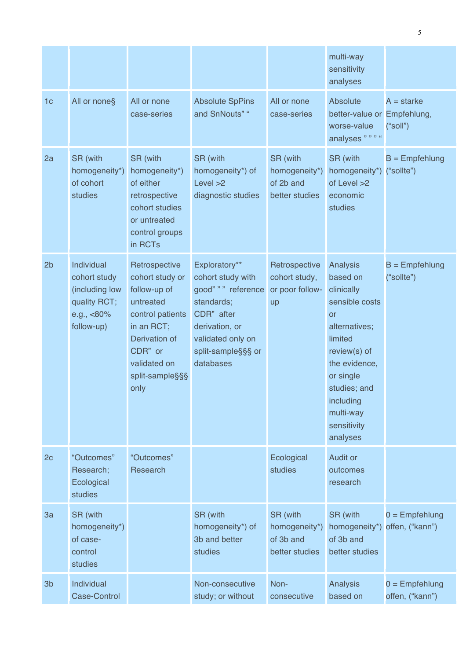|                |                                                                                              |                                                                                                                                                                        |                                                                                                                                                                 |                                                          | multi-way<br>sensitivity<br>analyses                                                                                                                                                                             |                                     |
|----------------|----------------------------------------------------------------------------------------------|------------------------------------------------------------------------------------------------------------------------------------------------------------------------|-----------------------------------------------------------------------------------------------------------------------------------------------------------------|----------------------------------------------------------|------------------------------------------------------------------------------------------------------------------------------------------------------------------------------------------------------------------|-------------------------------------|
| 1 <sub>c</sub> | All or none§                                                                                 | All or none<br>case-series                                                                                                                                             | <b>Absolute SpPins</b><br>and SnNouts" "                                                                                                                        | All or none<br>case-series                               | Absolute<br>better-value or Empfehlung,<br>worse-value<br>analyses """"                                                                                                                                          | $A =$ starke<br>("sol")             |
| 2a             | SR (with<br>homogeneity*)<br>of cohort<br>studies                                            | SR (with<br>homogeneity*)<br>of either<br>retrospective<br>cohort studies<br>or untreated<br>control groups<br>in RCTs                                                 | SR (with<br>homogeneity*) of<br>Level >2<br>diagnostic studies                                                                                                  | SR (with<br>homogeneity*)<br>of 2b and<br>better studies | <b>SR</b> (with<br>homogeneity*) ("sollte")<br>of Level >2<br>economic<br>studies                                                                                                                                | $B = Empfehlung$                    |
| 2 <sub>b</sub> | Individual<br>cohort study<br>(including low<br>quality RCT;<br>$e.g., < 80\%$<br>follow-up) | Retrospective<br>cohort study or<br>follow-up of<br>untreated<br>control patients<br>in an RCT;<br>Derivation of<br>CDR" or<br>validated on<br>split-sample§§§<br>only | Exploratory**<br>cohort study with<br>good" " " reference<br>standards;<br>CDR" after<br>derivation, or<br>validated only on<br>split-sample§§§ or<br>databases | Retrospective<br>cohort study,<br>or poor follow-<br>up  | Analysis<br>based on<br>clinically<br>sensible costs<br><b>or</b><br>alternatives;<br>limited<br>review(s) of<br>the evidence,<br>or single<br>studies; and<br>including<br>multi-way<br>sensitivity<br>analyses | $B = Empfehlung$<br>("sollte")      |
| 2c             | "Outcomes"<br>Research;<br>Ecological<br>studies                                             | "Outcomes"<br>Research                                                                                                                                                 |                                                                                                                                                                 | Ecological<br>studies                                    | Audit or<br>outcomes<br>research                                                                                                                                                                                 |                                     |
| 3a             | SR (with<br>homogeneity*)<br>of case-<br>control<br>studies                                  |                                                                                                                                                                        | SR (with<br>homogeneity*) of<br>3b and better<br>studies                                                                                                        | SR (with<br>homogeneity*)<br>of 3b and<br>better studies | SR (with<br>homogeneity*)<br>of 3b and<br>better studies                                                                                                                                                         | $0 =$ Empfehlung<br>offen, ("kann") |
| 3 <sub>b</sub> | Individual<br>Case-Control                                                                   |                                                                                                                                                                        | Non-consecutive<br>study; or without                                                                                                                            | Non-<br>consecutive                                      | Analysis<br>based on                                                                                                                                                                                             | $0 =$ Empfehlung<br>offen, ("kann") |

5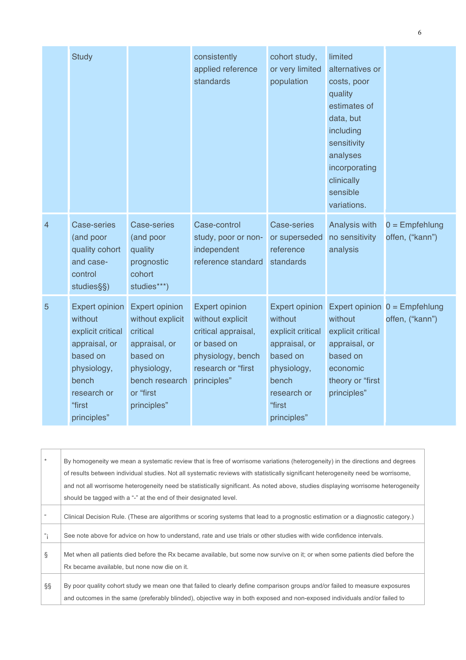|                | <b>Study</b>                                                                                                                                |                                                                                                                                                 | consistently<br>applied reference<br>standards                                                                                            | cohort study,<br>or very limited<br>population                                                                                                     | limited<br>alternatives or<br>costs, poor<br>quality<br>estimates of<br>data, but<br>including<br>sensitivity<br>analyses<br>incorporating<br>clinically<br>sensible<br>variations. |                                                    |
|----------------|---------------------------------------------------------------------------------------------------------------------------------------------|-------------------------------------------------------------------------------------------------------------------------------------------------|-------------------------------------------------------------------------------------------------------------------------------------------|----------------------------------------------------------------------------------------------------------------------------------------------------|-------------------------------------------------------------------------------------------------------------------------------------------------------------------------------------|----------------------------------------------------|
| $\overline{4}$ | Case-series<br>(and poor<br>quality cohort<br>and case-<br>control<br>studies§§)                                                            | Case-series<br>(and poor<br>quality<br>prognostic<br>cohort<br>studies***)                                                                      | Case-control<br>study, poor or non-<br>independent<br>reference standard                                                                  | Case-series<br>or superseded<br>reference<br>standards                                                                                             | Analysis with<br>no sensitivity<br>analysis                                                                                                                                         | $0 =$ Empfehlung<br>offen, ("kann")                |
| 5              | Expert opinion<br>without<br>explicit critical<br>appraisal, or<br>based on<br>physiology,<br>bench<br>research or<br>"first<br>principles" | <b>Expert opinion</b><br>without explicit<br>critical<br>appraisal, or<br>based on<br>physiology,<br>bench research<br>or "first<br>principles" | <b>Expert opinion</b><br>without explicit<br>critical appraisal,<br>or based on<br>physiology, bench<br>research or "first<br>principles" | <b>Expert opinion</b><br>without<br>explicit critical<br>appraisal, or<br>based on<br>physiology,<br>bench<br>research or<br>"first<br>principles" | without<br>explicit critical<br>appraisal, or<br>based on<br>economic<br>theory or "first<br>principles"                                                                            | Expert opinion $0 =$ Empfehlung<br>offen, ("kann") |

| $\star$ | By homogeneity we mean a systematic review that is free of worrisome variations (heterogeneity) in the directions and degrees<br>of results between individual studies. Not all systematic reviews with statistically significant heterogeneity need be worrisome,<br>and not all worrisome heterogeneity need be statistically significant. As noted above, studies displaying worrisome heterogeneity<br>should be tagged with a "-" at the end of their designated level. |
|---------|------------------------------------------------------------------------------------------------------------------------------------------------------------------------------------------------------------------------------------------------------------------------------------------------------------------------------------------------------------------------------------------------------------------------------------------------------------------------------|
|         | Clinical Decision Rule. (These are algorithms or scoring systems that lead to a prognostic estimation or a diagnostic category.)                                                                                                                                                                                                                                                                                                                                             |
| "i      | See note above for advice on how to understand, rate and use trials or other studies with wide confidence intervals.                                                                                                                                                                                                                                                                                                                                                         |
| ş       | Met when all patients died before the Rx became available, but some now survive on it; or when some patients died before the<br>Rx became available, but none now die on it.                                                                                                                                                                                                                                                                                                 |
| ŞŞ      | By poor quality cohort study we mean one that failed to clearly define comparison groups and/or failed to measure exposures<br>and outcomes in the same (preferably blinded), objective way in both exposed and non-exposed individuals and/or failed to                                                                                                                                                                                                                     |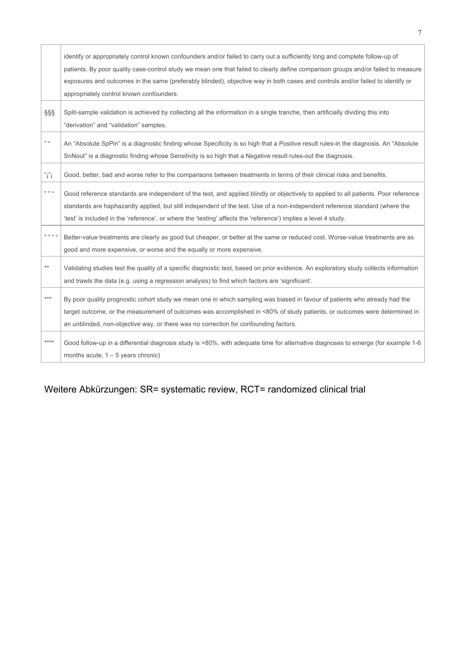|                | identify or appropriately control known confounders and/or failed to carry out a sufficiently long and complete follow-up of          |
|----------------|---------------------------------------------------------------------------------------------------------------------------------------|
|                | patients. By poor quality case-control study we mean one that failed to clearly define comparison groups and/or failed to measure     |
|                | exposures and outcomes in the same (preferably blinded), objective way in both cases and controls and/or failed to identify or        |
|                | appropriately control known confounders.                                                                                              |
| §§§            | Split-sample validation is achieved by collecting all the information in a single tranche, then artificially dividing this into       |
|                | "derivation" and "validation" samples.                                                                                                |
| $11 - 66$      | An "Absolute SpPin" is a diagnostic finding whose Specificity is so high that a Positive result rules-in the diagnosis. An "Absolute  |
|                | SnNout" is a diagnostic finding whose Sensitivity is so high that a Negative result rules-out the diagnosis.                          |
| $"\mathsf{i}"$ | Good, better, bad and worse refer to the comparisons between treatments in terms of their clinical risks and benefits.                |
| $11 - 11 - 11$ | Good reference standards are independent of the test, and applied blindly or objectively to applied to all patients. Poor reference   |
|                | standards are haphazardly applied, but still independent of the test. Use of a non-independent reference standard (where the          |
|                | 'test' is included in the 'reference', or where the 'testing' affects the 'reference') implies a level 4 study.                       |
| 33 33 33 66    | Better-value treatments are clearly as good but cheaper, or better at the same or reduced cost. Worse-value treatments are as         |
|                | good and more expensive, or worse and the equally or more expensive.                                                                  |
| $***$          | Validating studies test the quality of a specific diagnostic test, based on prior evidence. An exploratory study collects information |
|                | and trawls the data (e.g. using a regression analysis) to find which factors are 'significant'.                                       |
| ***            | By poor quality prognostic cohort study we mean one in which sampling was biased in favour of patients who already had the            |
|                | target outcome, or the measurement of outcomes was accomplished in <80% of study patients, or outcomes were determined in             |
|                | an unblinded, non-objective way, or there was no correction for confounding factors.                                                  |
| $***$          | Good follow-up in a differential diagnosis study is >80%, with adequate time for alternative diagnoses to emerge (for example 1-6     |
|                | months acute, $1 - 5$ years chronic)                                                                                                  |

# Weitere Abkürzungen: SR= systematic review, RCT= randomized clinical trial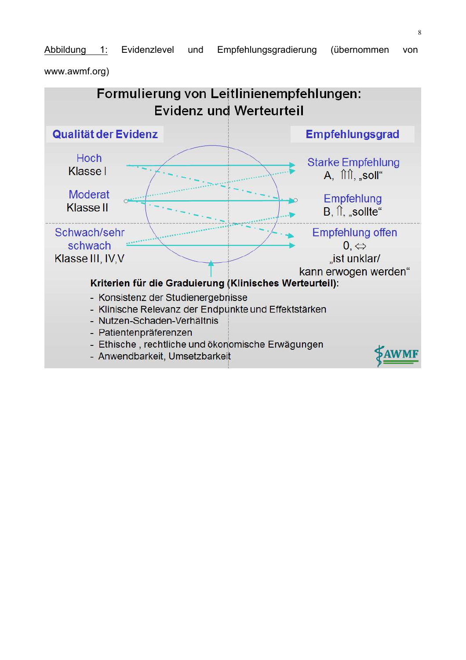## www.awmf.org)

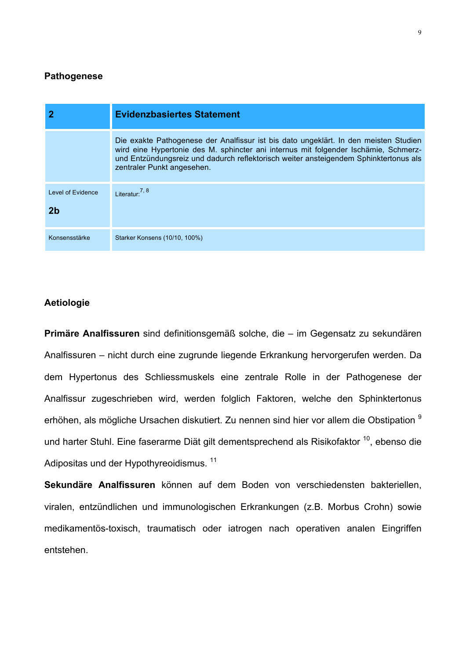#### **Pathogenese**

|                                     | <b>Evidenzbasiertes Statement</b>                                                                                                                                                                                                                                                                 |
|-------------------------------------|---------------------------------------------------------------------------------------------------------------------------------------------------------------------------------------------------------------------------------------------------------------------------------------------------|
|                                     | Die exakte Pathogenese der Analfissur ist bis dato ungeklärt. In den meisten Studien<br>wird eine Hypertonie des M. sphincter ani internus mit folgender Ischämie, Schmerz-<br>und Entzündungsreiz und dadurch reflektorisch weiter ansteigendem Sphinktertonus als<br>zentraler Punkt angesehen. |
| Level of Evidence<br>2 <sub>b</sub> | Literatur: $7, 8$                                                                                                                                                                                                                                                                                 |
| Konsensstärke                       | Starker Konsens (10/10, 100%)                                                                                                                                                                                                                                                                     |

### **Aetiologie**

**Primäre Analfissuren** sind definitionsgemäß solche, die – im Gegensatz zu sekundären Analfissuren – nicht durch eine zugrunde liegende Erkrankung hervorgerufen werden. Da dem Hypertonus des Schliessmuskels eine zentrale Rolle in der Pathogenese der Analfissur zugeschrieben wird, werden folglich Faktoren, welche den Sphinktertonus erhöhen, als mögliche Ursachen diskutiert. Zu nennen sind hier vor allem die Obstipation <sup>9</sup> und harter Stuhl. Eine faserarme Diät gilt dementsprechend als Risikofaktor<sup>10</sup>, ebenso die Adipositas und der Hypothyreoidismus. 11

**Sekundäre Analfissuren** können auf dem Boden von verschiedensten bakteriellen, viralen, entzündlichen und immunologischen Erkrankungen (z.B. Morbus Crohn) sowie medikamentös-toxisch, traumatisch oder iatrogen nach operativen analen Eingriffen entstehen.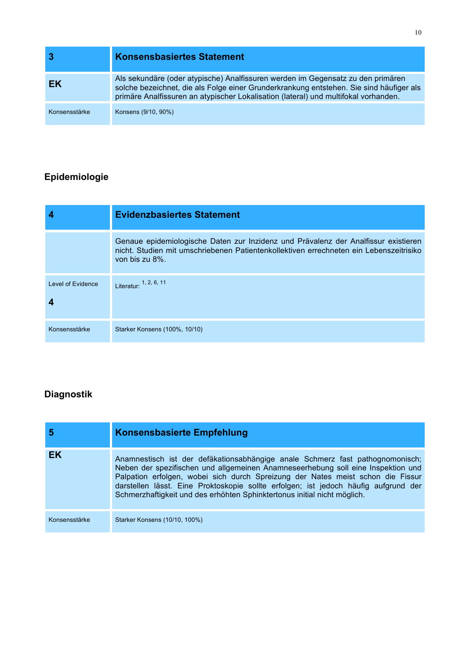| 3             | <b>Konsensbasiertes Statement</b>                                                                                                                                                                                                                                 |
|---------------|-------------------------------------------------------------------------------------------------------------------------------------------------------------------------------------------------------------------------------------------------------------------|
| EK            | Als sekundäre (oder atypische) Analfissuren werden im Gegensatz zu den primären<br>solche bezeichnet, die als Folge einer Grunderkrankung entstehen. Sie sind häufiger als<br>primäre Analfissuren an atypischer Lokalisation (lateral) und multifokal vorhanden. |
| Konsensstärke | Konsens (9/10, 90%)                                                                                                                                                                                                                                               |

# **Epidemiologie**

|                   | <b>Evidenzbasiertes Statement</b>                                                                                                                                                              |
|-------------------|------------------------------------------------------------------------------------------------------------------------------------------------------------------------------------------------|
|                   | Genaue epidemiologische Daten zur Inzidenz und Prävalenz der Analfissur existieren<br>nicht. Studien mit umschriebenen Patientenkollektiven errechneten ein Lebenszeitrisiko<br>von bis zu 8%. |
| Level of Evidence | Literatur: 1, 2, 6, 11                                                                                                                                                                         |
|                   |                                                                                                                                                                                                |
| Konsensstärke     | Starker Konsens (100%, 10/10)                                                                                                                                                                  |

# **Diagnostik**

| 5             | Konsensbasierte Empfehlung                                                                                                                                                                                                                                                                                                                                                                                              |
|---------------|-------------------------------------------------------------------------------------------------------------------------------------------------------------------------------------------------------------------------------------------------------------------------------------------------------------------------------------------------------------------------------------------------------------------------|
| EK            | Anamnestisch ist der defäkationsabhängige anale Schmerz fast pathognomonisch;<br>Neben der spezifischen und allgemeinen Anamneseerhebung soll eine Inspektion und<br>Palpation erfolgen, wobei sich durch Spreizung der Nates meist schon die Fissur<br>darstellen lässt. Eine Proktoskopie sollte erfolgen; ist jedoch häufig aufgrund der<br>Schmerzhaftigkeit und des erhöhten Sphinktertonus initial nicht möglich. |
| Konsensstärke | Starker Konsens (10/10, 100%)                                                                                                                                                                                                                                                                                                                                                                                           |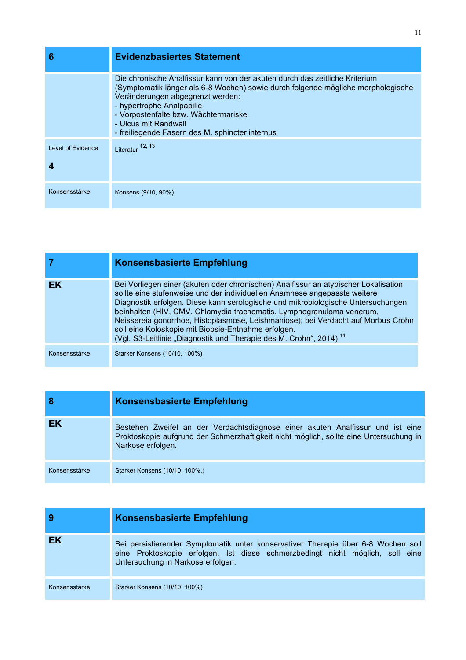| 6                 | <b>Evidenzbasiertes Statement</b>                                                                                                                                                                                                                                                                                                                   |
|-------------------|-----------------------------------------------------------------------------------------------------------------------------------------------------------------------------------------------------------------------------------------------------------------------------------------------------------------------------------------------------|
|                   | Die chronische Analfissur kann von der akuten durch das zeitliche Kriterium<br>(Symptomatik länger als 6-8 Wochen) sowie durch folgende mögliche morphologische<br>Veränderungen abgegrenzt werden:<br>- hypertrophe Analpapille<br>- Vorpostenfalte bzw. Wächtermariske<br>- Ulcus mit Randwall<br>- freiliegende Fasern des M. sphincter internus |
| Level of Evidence | Literatur <sup>12, 13</sup>                                                                                                                                                                                                                                                                                                                         |
| 4                 |                                                                                                                                                                                                                                                                                                                                                     |
| Konsensstärke     | Konsens (9/10, 90%)                                                                                                                                                                                                                                                                                                                                 |

|               | Konsensbasierte Empfehlung                                                                                                                                                                                                                                                                                                                                                                                                                                                                                                                                  |
|---------------|-------------------------------------------------------------------------------------------------------------------------------------------------------------------------------------------------------------------------------------------------------------------------------------------------------------------------------------------------------------------------------------------------------------------------------------------------------------------------------------------------------------------------------------------------------------|
| EK            | Bei Vorliegen einer (akuten oder chronischen) Analfissur an atypischer Lokalisation<br>sollte eine stufenweise und der individuellen Anamnese angepasste weitere<br>Diagnostik erfolgen. Diese kann serologische und mikrobiologische Untersuchungen<br>beinhalten (HIV, CMV, Chlamydia trachomatis, Lymphogranuloma venerum,<br>Neissereia gonorrhoe, Histoplasmose, Leishmaniose); bei Verdacht auf Morbus Crohn<br>soll eine Koloskopie mit Biopsie-Entnahme erfolgen.<br>(Vgl. S3-Leitlinie "Diagnostik und Therapie des M. Crohn", 2014) <sup>14</sup> |
| Konsensstärke | Starker Konsens (10/10, 100%)                                                                                                                                                                                                                                                                                                                                                                                                                                                                                                                               |

| 8             | Konsensbasierte Empfehlung                                                                                                                                                                    |
|---------------|-----------------------------------------------------------------------------------------------------------------------------------------------------------------------------------------------|
| EK            | Bestehen Zweifel an der Verdachtsdiagnose einer akuten Analfissur und ist eine<br>Proktoskopie aufgrund der Schmerzhaftigkeit nicht möglich, sollte eine Untersuchung in<br>Narkose erfolgen. |
| Konsensstärke | Starker Konsens (10/10, 100%.)                                                                                                                                                                |

| 9             | <b>Konsensbasierte Empfehlung</b>                                                                                                                                                                       |
|---------------|---------------------------------------------------------------------------------------------------------------------------------------------------------------------------------------------------------|
| EK            | Bei persistierender Symptomatik unter konservativer Therapie über 6-8 Wochen soll<br>eine Proktoskopie erfolgen. Ist diese schmerzbedingt nicht möglich, soll eine<br>Untersuchung in Narkose erfolgen. |
| Konsensstärke | Starker Konsens (10/10, 100%)                                                                                                                                                                           |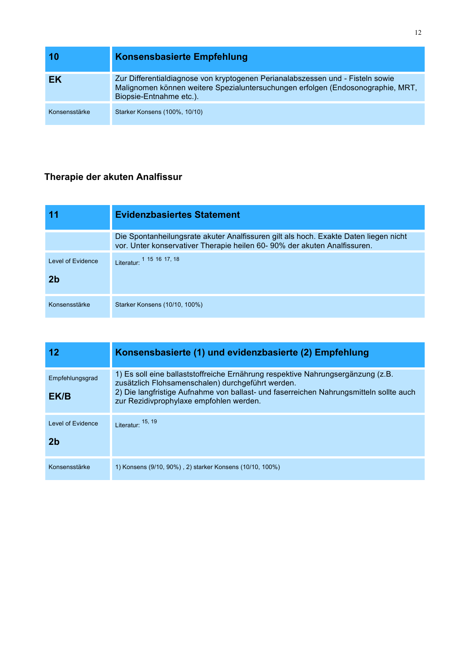|               | Konsensbasierte Empfehlung                                                                                                                                                                   |
|---------------|----------------------------------------------------------------------------------------------------------------------------------------------------------------------------------------------|
| EK            | Zur Differentialdiagnose von kryptogenen Perianalabszessen und - Fisteln sowie<br>Malignomen können weitere Spezialuntersuchungen erfolgen (Endosonographie, MRT,<br>Biopsie-Entnahme etc.). |
| Konsensstärke | Starker Konsens (100%, 10/10)                                                                                                                                                                |

# **Therapie der akuten Analfissur**

|                         | <b>Evidenzbasiertes Statement</b>                                                                                                                                 |
|-------------------------|-------------------------------------------------------------------------------------------------------------------------------------------------------------------|
|                         | Die Spontanheilungsrate akuter Analfissuren gilt als hoch. Exakte Daten liegen nicht<br>vor. Unter konservativer Therapie heilen 60- 90% der akuten Analfissuren. |
| Level of Evidence<br>2b | Literatur: 1 15 16 17, 18                                                                                                                                         |
| Konsensstärke           | Starker Konsens (10/10, 100%)                                                                                                                                     |

| 12                      | Konsensbasierte (1) und evidenzbasierte (2) Empfehlung                                                                                                                                                                                                                    |
|-------------------------|---------------------------------------------------------------------------------------------------------------------------------------------------------------------------------------------------------------------------------------------------------------------------|
| Empfehlungsgrad<br>EK/B | 1) Es soll eine ballaststoffreiche Ernährung respektive Nahrungsergänzung (z.B.<br>zusätzlich Flohsamenschalen) durchgeführt werden.<br>2) Die langfristige Aufnahme von ballast- und faserreichen Nahrungsmitteln sollte auch<br>zur Rezidivprophylaxe empfohlen werden. |
| Level of Evidence       | Literatur: 15, 19                                                                                                                                                                                                                                                         |
| 2 <sub>b</sub>          |                                                                                                                                                                                                                                                                           |
| Konsensstärke           | 1) Konsens (9/10, 90%), 2) starker Konsens (10/10, 100%)                                                                                                                                                                                                                  |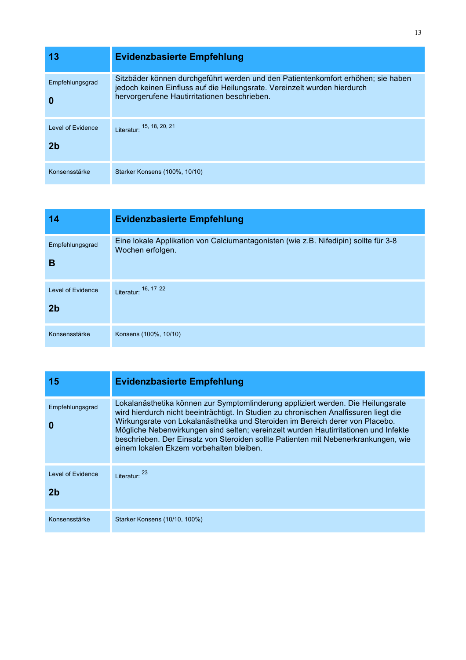| 13                                  | <b>Evidenzbasierte Empfehlung</b>                                                                                                                                                                            |
|-------------------------------------|--------------------------------------------------------------------------------------------------------------------------------------------------------------------------------------------------------------|
| Empfehlungsgrad<br>0                | Sitzbäder können durchgeführt werden und den Patientenkomfort erhöhen; sie haben<br>jedoch keinen Einfluss auf die Heilungsrate. Vereinzelt wurden hierdurch<br>hervorgerufene Hautirritationen beschrieben. |
| Level of Evidence<br>2 <sub>b</sub> | Literatur: 15, 18, 20, 21                                                                                                                                                                                    |
| Konsensstärke                       | Starker Konsens (100%, 10/10)                                                                                                                                                                                |

| 14                | <b>Evidenzbasierte Empfehlung</b>                                                                       |
|-------------------|---------------------------------------------------------------------------------------------------------|
| Empfehlungsgrad   | Eine lokale Applikation von Calciumantagonisten (wie z.B. Nifedipin) sollte für 3-8<br>Wochen erfolgen. |
| В                 |                                                                                                         |
| Level of Evidence | Literatur: 16, 17 22                                                                                    |
| 2 <sub>b</sub>    |                                                                                                         |
| Konsensstärke     | Konsens (100%, 10/10)                                                                                   |

| 15                   | <b>Evidenzbasierte Empfehlung</b>                                                                                                                                                                                                                                                                                                                                                                                                                                                   |
|----------------------|-------------------------------------------------------------------------------------------------------------------------------------------------------------------------------------------------------------------------------------------------------------------------------------------------------------------------------------------------------------------------------------------------------------------------------------------------------------------------------------|
| Empfehlungsgrad<br>0 | Lokalanästhetika können zur Symptomlinderung appliziert werden. Die Heilungsrate<br>wird hierdurch nicht beeinträchtigt. In Studien zu chronischen Analfissuren liegt die<br>Wirkungsrate von Lokalanästhetika und Steroiden im Bereich derer von Placebo.<br>Mögliche Nebenwirkungen sind selten; vereinzelt wurden Hautirritationen und Infekte<br>beschrieben. Der Einsatz von Steroiden sollte Patienten mit Nebenerkrankungen, wie<br>einem lokalen Ekzem vorbehalten bleiben. |
| Level of Evidence    | Literatur <sup>23</sup>                                                                                                                                                                                                                                                                                                                                                                                                                                                             |
| 2 <sub>b</sub>       |                                                                                                                                                                                                                                                                                                                                                                                                                                                                                     |
| Konsensstärke        | Starker Konsens (10/10, 100%)                                                                                                                                                                                                                                                                                                                                                                                                                                                       |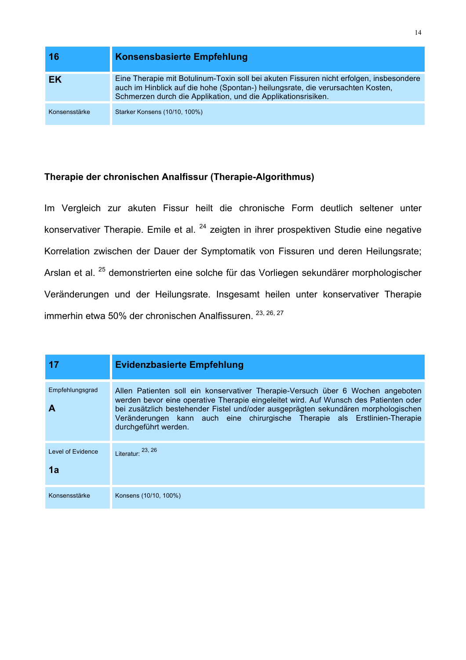| <b>16</b>     | Konsensbasierte Empfehlung                                                                                                                                                                                                                  |
|---------------|---------------------------------------------------------------------------------------------------------------------------------------------------------------------------------------------------------------------------------------------|
| EK            | Eine Therapie mit Botulinum-Toxin soll bei akuten Fissuren nicht erfolgen, insbesondere<br>auch im Hinblick auf die hohe (Spontan-) heilungsrate, die verursachten Kosten,<br>Schmerzen durch die Applikation, und die Applikationsrisiken. |
| Konsensstärke | Starker Konsens (10/10, 100%)                                                                                                                                                                                                               |

### **Therapie der chronischen Analfissur (Therapie-Algorithmus)**

Im Vergleich zur akuten Fissur heilt die chronische Form deutlich seltener unter konservativer Therapie. Emile et al. <sup>24</sup> zeigten in ihrer prospektiven Studie eine negative Korrelation zwischen der Dauer der Symptomatik von Fissuren und deren Heilungsrate; Arslan et al. <sup>25</sup> demonstrierten eine solche für das Vorliegen sekundärer morphologischer Veränderungen und der Heilungsrate. Insgesamt heilen unter konservativer Therapie immerhin etwa 50% der chronischen Analfissuren. 23, 26, 27

| 17                   | <b>Evidenzbasierte Empfehlung</b>                                                                                                                                                                                                                                                                                                                                   |
|----------------------|---------------------------------------------------------------------------------------------------------------------------------------------------------------------------------------------------------------------------------------------------------------------------------------------------------------------------------------------------------------------|
| Empfehlungsgrad<br>A | Allen Patienten soll ein konservativer Therapie-Versuch über 6 Wochen angeboten<br>werden bevor eine operative Therapie eingeleitet wird. Auf Wunsch des Patienten oder<br>bei zusätzlich bestehender Fistel und/oder ausgeprägten sekundären morphologischen<br>Veränderungen kann auch eine chirurgische Therapie als Erstlinien-Therapie<br>durchgeführt werden. |
| Level of Evidence    | Literatur: 23, 26                                                                                                                                                                                                                                                                                                                                                   |
| 1a                   |                                                                                                                                                                                                                                                                                                                                                                     |
| Konsensstärke        | Konsens (10/10, 100%)                                                                                                                                                                                                                                                                                                                                               |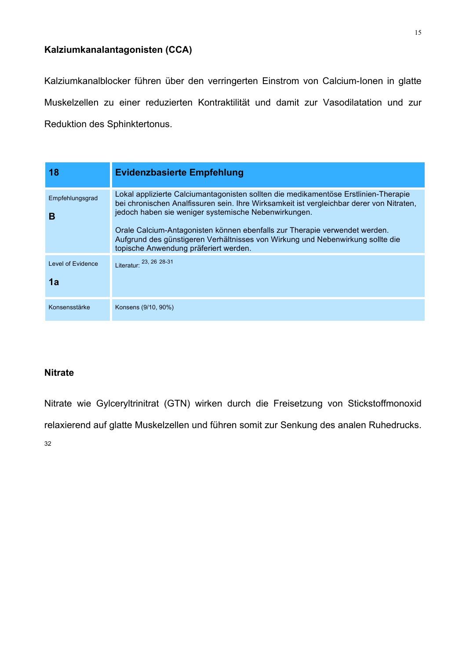## **Kalziumkanalantagonisten (CCA)**

Kalziumkanalblocker führen über den verringerten Einstrom von Calcium-Ionen in glatte Muskelzellen zu einer reduzierten Kontraktilität und damit zur Vasodilatation und zur Reduktion des Sphinktertonus.

| 18                      | <b>Evidenzbasierte Empfehlung</b>                                                                                                                                                                                                                                                                                                                                                                                                                |
|-------------------------|--------------------------------------------------------------------------------------------------------------------------------------------------------------------------------------------------------------------------------------------------------------------------------------------------------------------------------------------------------------------------------------------------------------------------------------------------|
| Empfehlungsgrad<br>В    | Lokal applizierte Calciumantagonisten sollten die medikamentöse Erstlinien-Therapie<br>bei chronischen Analfissuren sein. Ihre Wirksamkeit ist vergleichbar derer von Nitraten,<br>jedoch haben sie weniger systemische Nebenwirkungen.<br>Orale Calcium-Antagonisten können ebenfalls zur Therapie verwendet werden.<br>Aufgrund des günstigeren Verhältnisses von Wirkung und Nebenwirkung sollte die<br>topische Anwendung präferiert werden. |
| Level of Evidence<br>1a | Literatur: 23, 26 28-31                                                                                                                                                                                                                                                                                                                                                                                                                          |
| Konsensstärke           | Konsens (9/10, 90%)                                                                                                                                                                                                                                                                                                                                                                                                                              |

### **Nitrate**

Nitrate wie Gylceryltrinitrat (GTN) wirken durch die Freisetzung von Stickstoffmonoxid

relaxierend auf glatte Muskelzellen und führen somit zur Senkung des analen Ruhedrucks.

32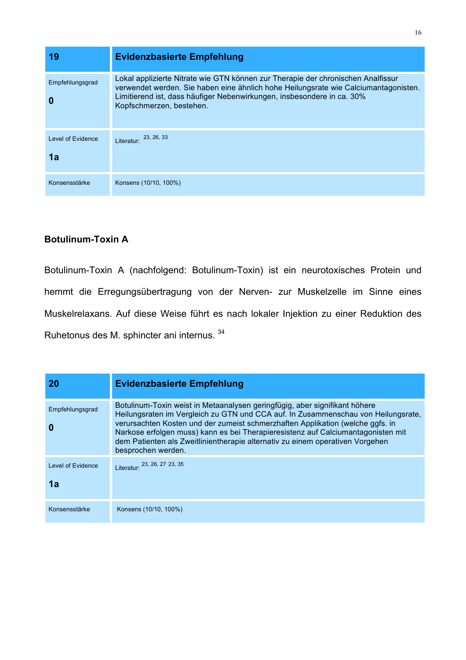| 19                      | <b>Evidenzbasierte Empfehlung</b>                                                                                                                                                                                                                                             |
|-------------------------|-------------------------------------------------------------------------------------------------------------------------------------------------------------------------------------------------------------------------------------------------------------------------------|
| Empfehlungsgrad<br>0    | Lokal applizierte Nitrate wie GTN können zur Therapie der chronischen Analfissur<br>verwendet werden. Sie haben eine ähnlich hohe Heilungsrate wie Calciumantagonisten.<br>Limitierend ist, dass häufiger Nebenwirkungen, insbesondere in ca. 30%<br>Kopfschmerzen, bestehen. |
| Level of Evidence<br>1a | Literatur: 23, 26, 33                                                                                                                                                                                                                                                         |
| Konsensstärke           | Konsens (10/10, 100%)                                                                                                                                                                                                                                                         |

## **Botulinum-Toxin A**

Botulinum-Toxin A (nachfolgend: Botulinum-Toxin) ist ein neurotoxisches Protein und hemmt die Erregungsübertragung von der Nerven- zur Muskelzelle im Sinne eines Muskelrelaxans. Auf diese Weise führt es nach lokaler Injektion zu einer Reduktion des Ruhetonus des M. sphincter ani internus. 34

| 20                   | <b>Evidenzbasierte Empfehlung</b>                                                                                                                                                                                                                                                                                                                                                                                                            |
|----------------------|----------------------------------------------------------------------------------------------------------------------------------------------------------------------------------------------------------------------------------------------------------------------------------------------------------------------------------------------------------------------------------------------------------------------------------------------|
| Empfehlungsgrad<br>0 | Botulinum-Toxin weist in Metaanalysen geringfügig, aber signifikant höhere<br>Heilungsraten im Vergleich zu GTN und CCA auf. In Zusammenschau von Heilungsrate,<br>verursachten Kosten und der zumeist schmerzhaften Applikation (welche ggfs. in<br>Narkose erfolgen muss) kann es bei Therapieresistenz auf Calciumantagonisten mit<br>dem Patienten als Zweitlinientherapie alternativ zu einem operativen Vorgehen<br>besprochen werden. |
| Level of Evidence    | Literatur: 23, 26, 27 23, 35                                                                                                                                                                                                                                                                                                                                                                                                                 |
| 1a                   |                                                                                                                                                                                                                                                                                                                                                                                                                                              |
| Konsensstärke        | Konsens (10/10, 100%)                                                                                                                                                                                                                                                                                                                                                                                                                        |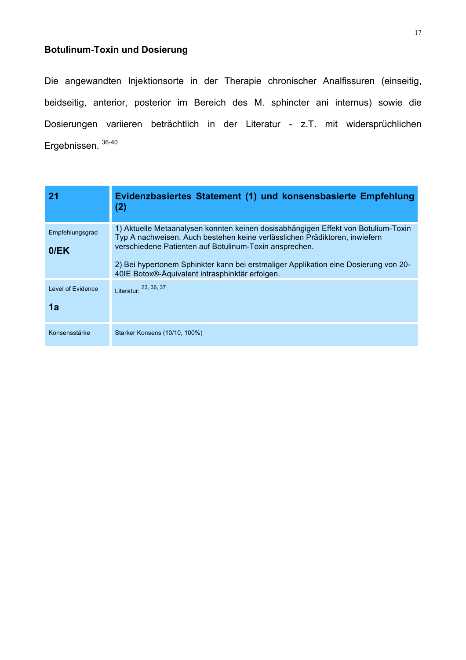Die angewandten Injektionsorte in der Therapie chronischer Analfissuren (einseitig, beidseitig, anterior, posterior im Bereich des M. sphincter ani internus) sowie die Dosierungen variieren beträchtlich in der Literatur - z.T. mit widersprüchlichen Ergebnissen. 36-40

| 21                         | Evidenzbasiertes Statement (1) und konsensbasierte Empfehlung<br>(2)                                                                                                                                                                                                                                                                                                |
|----------------------------|---------------------------------------------------------------------------------------------------------------------------------------------------------------------------------------------------------------------------------------------------------------------------------------------------------------------------------------------------------------------|
| Empfehlungsgrad<br>$0$ /EK | 1) Aktuelle Metaanalysen konnten keinen dosisabhängigen Effekt von Botulium-Toxin<br>Typ A nachweisen. Auch bestehen keine verlässlichen Prädiktoren, inwiefern<br>verschiedene Patienten auf Botulinum-Toxin ansprechen.<br>2) Bei hypertonem Sphinkter kann bei erstmaliger Applikation eine Dosierung von 20-<br>40IE Botox®-Äquivalent intrasphinktär erfolgen. |
| Level of Evidence<br>1a    | Literatur: 23, 36, 37                                                                                                                                                                                                                                                                                                                                               |
| Konsensstärke              | Starker Konsens (10/10, 100%)                                                                                                                                                                                                                                                                                                                                       |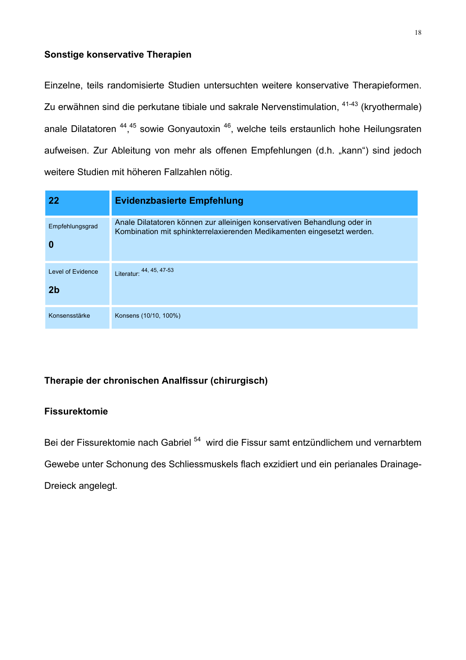## **Sonstige konservative Therapien**

Einzelne, teils randomisierte Studien untersuchten weitere konservative Therapieformen. Zu erwähnen sind die perkutane tibiale und sakrale Nervenstimulation, 41-43 (kryothermale) anale Dilatatoren <sup>44,45</sup> sowie Gonyautoxin <sup>46</sup>, welche teils erstaunlich hohe Heilungsraten aufweisen. Zur Ableitung von mehr als offenen Empfehlungen (d.h. "kann") sind jedoch weitere Studien mit höheren Fallzahlen nötig.

| 22                                  | <b>Evidenzbasierte Empfehlung</b>                                                                                                                  |
|-------------------------------------|----------------------------------------------------------------------------------------------------------------------------------------------------|
| Empfehlungsgrad<br>0                | Anale Dilatatoren können zur alleinigen konservativen Behandlung oder in<br>Kombination mit sphinkterrelaxierenden Medikamenten eingesetzt werden. |
| Level of Evidence<br>2 <sub>b</sub> | Literatur: 44, 45, 47-53                                                                                                                           |
| Konsensstärke                       | Konsens (10/10, 100%)                                                                                                                              |

## **Therapie der chronischen Analfissur (chirurgisch)**

## **Fissurektomie**

Bei der Fissurektomie nach Gabriel <sup>54</sup> wird die Fissur samt entzündlichem und vernarbtem

Gewebe unter Schonung des Schliessmuskels flach exzidiert und ein perianales Drainage-

Dreieck angelegt.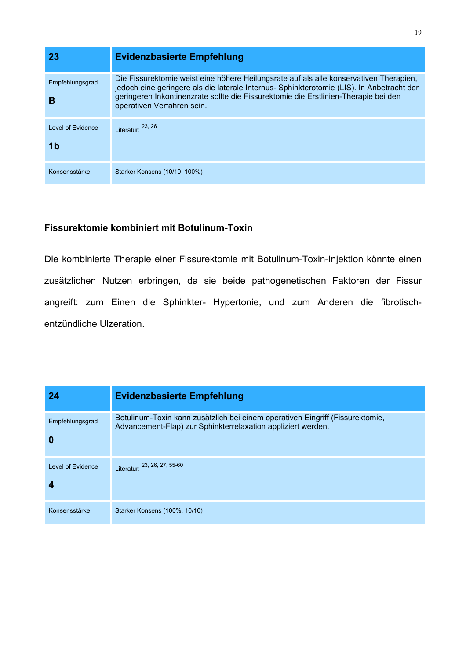| 23                      | <b>Evidenzbasierte Empfehlung</b>                                                                                                                                                                                                                                                                        |
|-------------------------|----------------------------------------------------------------------------------------------------------------------------------------------------------------------------------------------------------------------------------------------------------------------------------------------------------|
| Empfehlungsgrad<br>В    | Die Fissurektomie weist eine höhere Heilungsrate auf als alle konservativen Therapien,<br>jedoch eine geringere als die laterale Internus- Sphinkterotomie (LIS). In Anbetracht der<br>geringeren Inkontinenzrate sollte die Fissurektomie die Erstlinien-Therapie bei den<br>operativen Verfahren sein. |
| Level of Evidence<br>1b | Literatur: 23, 26                                                                                                                                                                                                                                                                                        |
| Konsensstärke           | Starker Konsens (10/10, 100%)                                                                                                                                                                                                                                                                            |

## **Fissurektomie kombiniert mit Botulinum-Toxin**

Die kombinierte Therapie einer Fissurektomie mit Botulinum-Toxin-Injektion könnte einen zusätzlichen Nutzen erbringen, da sie beide pathogenetischen Faktoren der Fissur angreift: zum Einen die Sphinkter- Hypertonie, und zum Anderen die fibrotischentzündliche Ulzeration.

| 24                | <b>Evidenzbasierte Empfehlung</b>                                                                                                             |
|-------------------|-----------------------------------------------------------------------------------------------------------------------------------------------|
| Empfehlungsgrad   | Botulinum-Toxin kann zusätzlich bei einem operativen Eingriff (Fissurektomie,<br>Advancement-Flap) zur Sphinkterrelaxation appliziert werden. |
| $\bf{0}$          |                                                                                                                                               |
| Level of Evidence | Literatur: 23, 26, 27, 55-60                                                                                                                  |
| 4                 |                                                                                                                                               |
| Konsensstärke     | Starker Konsens (100%, 10/10)                                                                                                                 |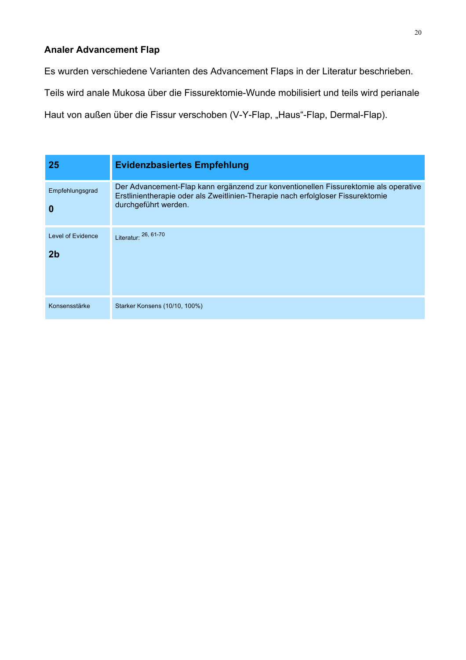# **Analer Advancement Flap**

Es wurden verschiedene Varianten des Advancement Flaps in der Literatur beschrieben.

Teils wird anale Mukosa über die Fissurektomie-Wunde mobilisiert und teils wird perianale

Haut von außen über die Fissur verschoben (V-Y-Flap, "Haus"-Flap, Dermal-Flap).

| 25                   | <b>Evidenzbasiertes Empfehlung</b>                                                                                                                                                             |
|----------------------|------------------------------------------------------------------------------------------------------------------------------------------------------------------------------------------------|
| Empfehlungsgrad<br>0 | Der Advancement-Flap kann ergänzend zur konventionellen Fissurektomie als operative<br>Erstlinientherapie oder als Zweitlinien-Therapie nach erfolgloser Fissurektomie<br>durchgeführt werden. |
| Level of Evidence    | Literatur: 26, 61-70                                                                                                                                                                           |
| 2 <sub>b</sub>       |                                                                                                                                                                                                |
| Konsensstärke        | Starker Konsens (10/10, 100%)                                                                                                                                                                  |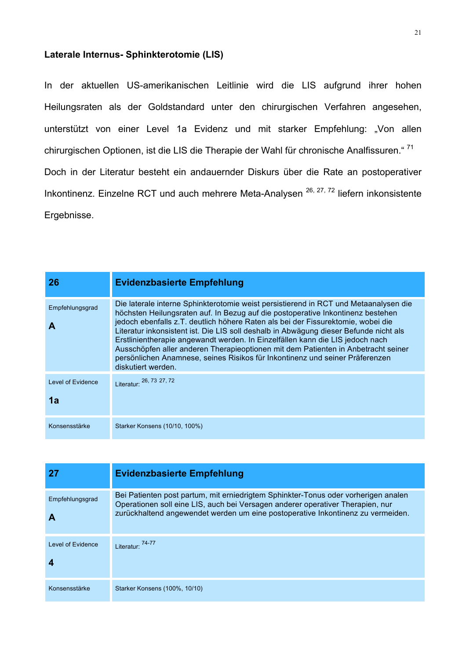#### **Laterale Internus- Sphinkterotomie (LIS)**

In der aktuellen US-amerikanischen Leitlinie wird die LIS aufgrund ihrer hohen Heilungsraten als der Goldstandard unter den chirurgischen Verfahren angesehen, unterstützt von einer Level 1a Evidenz und mit starker Empfehlung: "Von allen chirurgischen Optionen, ist die LIS die Therapie der Wahl für chronische Analfissuren." 71 Doch in der Literatur besteht ein andauernder Diskurs über die Rate an postoperativer Inkontinenz. Einzelne RCT und auch mehrere Meta-Analysen 26, 27, 72 liefern inkonsistente Ergebnisse.

| 26                      | <b>Evidenzbasierte Empfehlung</b>                                                                                                                                                                                                                                                                                                                                                                                                                                                                                                                                                                                                |
|-------------------------|----------------------------------------------------------------------------------------------------------------------------------------------------------------------------------------------------------------------------------------------------------------------------------------------------------------------------------------------------------------------------------------------------------------------------------------------------------------------------------------------------------------------------------------------------------------------------------------------------------------------------------|
| Empfehlungsgrad<br>A    | Die laterale interne Sphinkterotomie weist persistierend in RCT und Metaanalysen die<br>höchsten Heilungsraten auf. In Bezug auf die postoperative Inkontinenz bestehen<br>jedoch ebenfalls z.T. deutlich höhere Raten als bei der Fissurektomie, wobei die<br>Literatur inkonsistent ist. Die LIS soll deshalb in Abwägung dieser Befunde nicht als<br>Erstlinientherapie angewandt werden. In Einzelfällen kann die LIS jedoch nach<br>Ausschöpfen aller anderen Therapieoptionen mit dem Patienten in Anbetracht seiner<br>persönlichen Anamnese, seines Risikos für Inkontinenz und seiner Präferenzen<br>diskutiert werden. |
| Level of Evidence<br>1a | Literatur: 26, 73 27, 72                                                                                                                                                                                                                                                                                                                                                                                                                                                                                                                                                                                                         |
| Konsensstärke           | Starker Konsens (10/10, 100%)                                                                                                                                                                                                                                                                                                                                                                                                                                                                                                                                                                                                    |

| 27                     | <b>Evidenzbasierte Empfehlung</b>                                                                                                                                                                                                                       |
|------------------------|---------------------------------------------------------------------------------------------------------------------------------------------------------------------------------------------------------------------------------------------------------|
| Empfehlungsgrad<br>A   | Bei Patienten post partum, mit erniedrigtem Sphinkter-Tonus oder vorherigen analen<br>Operationen soll eine LIS, auch bei Versagen anderer operativer Therapien, nur<br>zurückhaltend angewendet werden um eine postoperative Inkontinenz zu vermeiden. |
| Level of Evidence<br>4 | Literatur: 74-77                                                                                                                                                                                                                                        |
| Konsensstärke          | Starker Konsens (100%, 10/10)                                                                                                                                                                                                                           |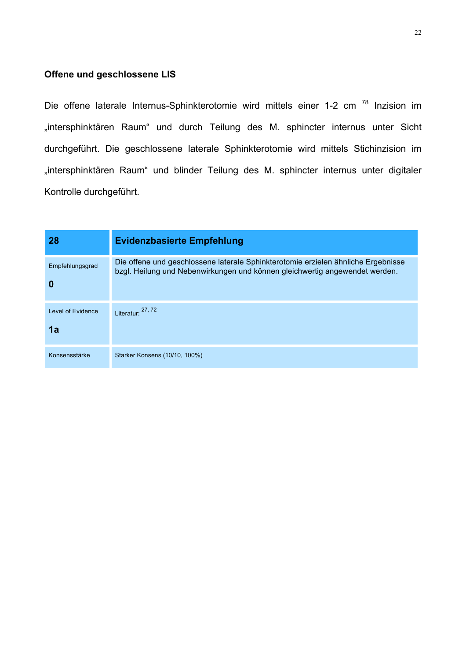## **Offene und geschlossene LIS**

Die offene laterale Internus-Sphinkterotomie wird mittels einer 1-2 cm <sup>78</sup> Inzision im "intersphinktären Raum" und durch Teilung des M. sphincter internus unter Sicht durchgeführt. Die geschlossene laterale Sphinkterotomie wird mittels Stichinzision im "intersphinktären Raum" und blinder Teilung des M. sphincter internus unter digitaler Kontrolle durchgeführt.

| 28                | <b>Evidenzbasierte Empfehlung</b>                                                                                                                                |
|-------------------|------------------------------------------------------------------------------------------------------------------------------------------------------------------|
| Empfehlungsgrad   | Die offene und geschlossene laterale Sphinkterotomie erzielen ähnliche Ergebnisse<br>bzgl. Heilung und Nebenwirkungen und können gleichwertig angewendet werden. |
| $\boldsymbol{0}$  |                                                                                                                                                                  |
| Level of Evidence | Literatur: 27, 72                                                                                                                                                |
| 1a                |                                                                                                                                                                  |
| Konsensstärke     | Starker Konsens (10/10, 100%)                                                                                                                                    |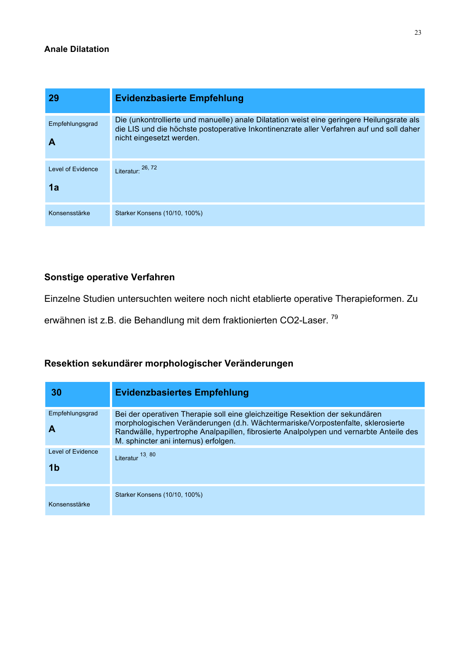| 29                      | <b>Evidenzbasierte Empfehlung</b>                                                                                                                                                                                 |
|-------------------------|-------------------------------------------------------------------------------------------------------------------------------------------------------------------------------------------------------------------|
| Empfehlungsgrad<br>Α    | Die (unkontrollierte und manuelle) anale Dilatation weist eine geringere Heilungsrate als<br>die LIS und die höchste postoperative Inkontinenzrate aller Verfahren auf und soll daher<br>nicht eingesetzt werden. |
| Level of Evidence<br>1a | Literatur: 26, 72                                                                                                                                                                                                 |
| Konsensstärke           | Starker Konsens (10/10, 100%)                                                                                                                                                                                     |

## **Sonstige operative Verfahren**

Einzelne Studien untersuchten weitere noch nicht etablierte operative Therapieformen. Zu

erwähnen ist z.B. die Behandlung mit dem fraktionierten CO2-Laser. <sup>79</sup>

## **Resektion sekundärer morphologischer Veränderungen**

| 30                      | <b>Evidenzbasiertes Empfehlung</b>                                                                                                                                                                                                                                                                |
|-------------------------|---------------------------------------------------------------------------------------------------------------------------------------------------------------------------------------------------------------------------------------------------------------------------------------------------|
| Empfehlungsgrad<br>Α    | Bei der operativen Therapie soll eine gleichzeitige Resektion der sekundären<br>morphologischen Veränderungen (d.h. Wächtermariske/Vorpostenfalte, sklerosierte<br>Randwälle, hypertrophe Analpapillen, fibrosierte Analpolypen und vernarbte Anteile des<br>M. sphincter ani internus) erfolgen. |
| Level of Evidence<br>1b | Literatur <sup>13, 80</sup>                                                                                                                                                                                                                                                                       |
| Konsensstärke           | Starker Konsens (10/10, 100%)                                                                                                                                                                                                                                                                     |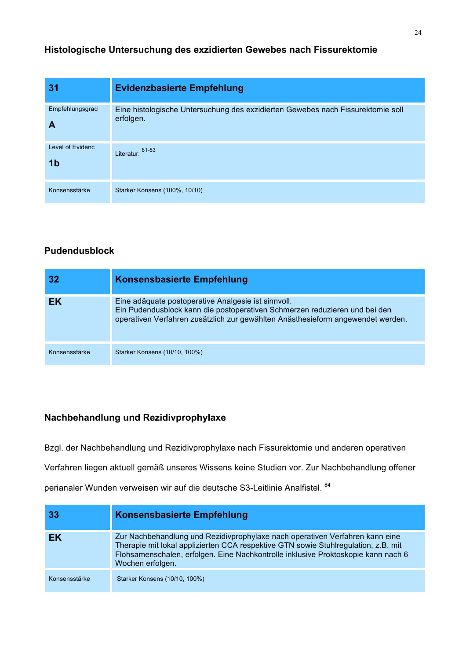## **Histologische Untersuchung des exzidierten Gewebes nach Fissurektomie**

| 31                                 | <b>Evidenzbasierte Empfehlung</b>                                                            |
|------------------------------------|----------------------------------------------------------------------------------------------|
| Empfehlungsgrad<br>A               | Eine histologische Untersuchung des exzidierten Gewebes nach Fissurektomie soll<br>erfolgen. |
| Level of Evidenc<br>1 <sub>b</sub> | Literatur: 81-83                                                                             |
| Konsensstärke                      | Starker Konsens (100%, 10/10)                                                                |

## **Pudendusblock**

| 32            | Konsensbasierte Empfehlung                                                                                                                                                                                           |
|---------------|----------------------------------------------------------------------------------------------------------------------------------------------------------------------------------------------------------------------|
| EK            | Eine adäquate postoperative Analgesie ist sinnvoll.<br>Ein Pudendusblock kann die postoperativen Schmerzen reduzieren und bei den<br>operativen Verfahren zusätzlich zur gewählten Anästhesieform angewendet werden. |
| Konsensstärke | Starker Konsens (10/10, 100%)                                                                                                                                                                                        |

# **Nachbehandlung und Rezidivprophylaxe**

Bzgl. der Nachbehandlung und Rezidivprophylaxe nach Fissurektomie und anderen operativen Verfahren liegen aktuell gemäß unseres Wissens keine Studien vor. Zur Nachbehandlung offener perianaler Wunden verweisen wir auf die deutsche S3-Leitlinie Analfistel. <sup>84</sup>

| 33            | Konsensbasierte Empfehlung                                                                                                                                                                                                                                                  |
|---------------|-----------------------------------------------------------------------------------------------------------------------------------------------------------------------------------------------------------------------------------------------------------------------------|
| EK            | Zur Nachbehandlung und Rezidivprophylaxe nach operativen Verfahren kann eine<br>Therapie mit lokal applizierten CCA respektive GTN sowie Stuhlregulation, z.B. mit<br>Flohsamenschalen, erfolgen. Eine Nachkontrolle inklusive Proktoskopie kann nach 6<br>Wochen erfolgen. |
| Konsensstärke | Starker Konsens (10/10, 100%)                                                                                                                                                                                                                                               |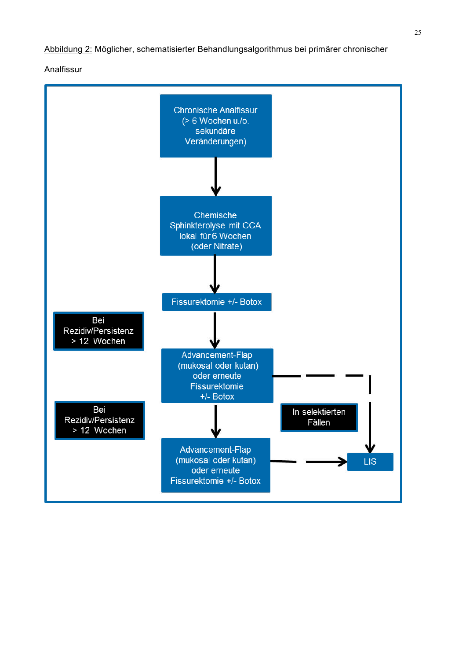Abbildung 2: Möglicher, schematisierter Behandlungsalgorithmus bei primärer chronischer

Analfissur

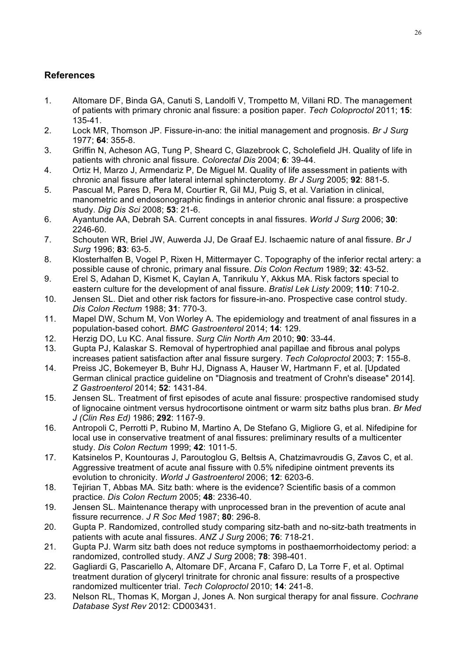## **References**

- 1. Altomare DF, Binda GA, Canuti S, Landolfi V, Trompetto M, Villani RD. The management of patients with primary chronic anal fissure: a position paper. *Tech Coloproctol* 2011; **15**: 135-41.
- 2. Lock MR, Thomson JP. Fissure-in-ano: the initial management and prognosis. *Br J Surg* 1977; **64**: 355-8.
- 3. Griffin N, Acheson AG, Tung P, Sheard C, Glazebrook C, Scholefield JH. Quality of life in patients with chronic anal fissure. *Colorectal Dis* 2004; **6**: 39-44.
- 4. Ortiz H, Marzo J, Armendariz P, De Miguel M. Quality of life assessment in patients with chronic anal fissure after lateral internal sphincterotomy. *Br J Surg* 2005; **92**: 881-5.
- 5. Pascual M, Pares D, Pera M, Courtier R, Gil MJ, Puig S, et al. Variation in clinical, manometric and endosonographic findings in anterior chronic anal fissure: a prospective study. *Dig Dis Sci* 2008; **53**: 21-6.
- 6. Ayantunde AA, Debrah SA. Current concepts in anal fissures. *World J Surg* 2006; **30**: 2246-60.
- 7. Schouten WR, Briel JW, Auwerda JJ, De Graaf EJ. Ischaemic nature of anal fissure. *Br J Surg* 1996; **83**: 63-5.
- 8. Klosterhalfen B, Vogel P, Rixen H, Mittermayer C. Topography of the inferior rectal artery: a possible cause of chronic, primary anal fissure. *Dis Colon Rectum* 1989; **32**: 43-52.
- 9. Erel S, Adahan D, Kismet K, Caylan A, Tanrikulu Y, Akkus MA. Risk factors special to eastern culture for the development of anal fissure. *Bratisl Lek Listy* 2009; **110**: 710-2.
- 10. Jensen SL. Diet and other risk factors for fissure-in-ano. Prospective case control study. *Dis Colon Rectum* 1988; **31**: 770-3.
- 11. Mapel DW, Schum M, Von Worley A. The epidemiology and treatment of anal fissures in a population-based cohort. *BMC Gastroenterol* 2014; **14**: 129.
- 12. Herzig DO, Lu KC. Anal fissure. *Surg Clin North Am* 2010; **90**: 33-44.
- 13. Gupta PJ, Kalaskar S. Removal of hypertrophied anal papillae and fibrous anal polyps increases patient satisfaction after anal fissure surgery. *Tech Coloproctol* 2003; **7**: 155-8.
- 14. Preiss JC, Bokemeyer B, Buhr HJ, Dignass A, Hauser W, Hartmann F, et al. [Updated German clinical practice guideline on "Diagnosis and treatment of Crohn's disease" 2014]. *Z Gastroenterol* 2014; **52**: 1431-84.
- 15. Jensen SL. Treatment of first episodes of acute anal fissure: prospective randomised study of lignocaine ointment versus hydrocortisone ointment or warm sitz baths plus bran. *Br Med J (Clin Res Ed)* 1986; **292**: 1167-9.
- 16. Antropoli C, Perrotti P, Rubino M, Martino A, De Stefano G, Migliore G, et al. Nifedipine for local use in conservative treatment of anal fissures: preliminary results of a multicenter study. *Dis Colon Rectum* 1999; **42**: 1011-5.
- 17. Katsinelos P, Kountouras J, Paroutoglou G, Beltsis A, Chatzimavroudis G, Zavos C, et al. Aggressive treatment of acute anal fissure with 0.5% nifedipine ointment prevents its evolution to chronicity. *World J Gastroenterol* 2006; **12**: 6203-6.
- 18. Tejirian T, Abbas MA. Sitz bath: where is the evidence? Scientific basis of a common practice. *Dis Colon Rectum* 2005; **48**: 2336-40.
- 19. Jensen SL. Maintenance therapy with unprocessed bran in the prevention of acute anal fissure recurrence. *J R Soc Med* 1987; **80**: 296-8.
- 20. Gupta P. Randomized, controlled study comparing sitz-bath and no-sitz-bath treatments in patients with acute anal fissures. *ANZ J Surg* 2006; **76**: 718-21.
- 21. Gupta PJ. Warm sitz bath does not reduce symptoms in posthaemorrhoidectomy period: a randomized, controlled study. *ANZ J Surg* 2008; **78**: 398-401.
- 22. Gagliardi G, Pascariello A, Altomare DF, Arcana F, Cafaro D, La Torre F, et al. Optimal treatment duration of glyceryl trinitrate for chronic anal fissure: results of a prospective randomized multicenter trial. *Tech Coloproctol* 2010; **14**: 241-8.
- 23. Nelson RL, Thomas K, Morgan J, Jones A. Non surgical therapy for anal fissure. *Cochrane Database Syst Rev* 2012: CD003431.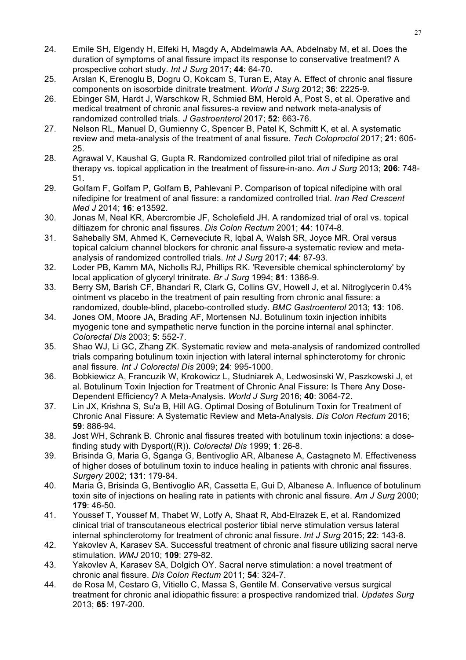- 24. Emile SH, Elgendy H, Elfeki H, Magdy A, Abdelmawla AA, Abdelnaby M, et al. Does the duration of symptoms of anal fissure impact its response to conservative treatment? A prospective cohort study. *Int J Surg* 2017; **44**: 64-70.
- 25. Arslan K, Erenoglu B, Dogru O, Kokcam S, Turan E, Atay A. Effect of chronic anal fissure components on isosorbide dinitrate treatment. *World J Surg* 2012; **36**: 2225-9.
- 26. Ebinger SM, Hardt J, Warschkow R, Schmied BM, Herold A, Post S, et al. Operative and medical treatment of chronic anal fissures-a review and network meta-analysis of randomized controlled trials. *J Gastroenterol* 2017; **52**: 663-76.
- 27. Nelson RL, Manuel D, Gumienny C, Spencer B, Patel K, Schmitt K, et al. A systematic review and meta-analysis of the treatment of anal fissure. *Tech Coloproctol* 2017; **21**: 605- 25.
- 28. Agrawal V, Kaushal G, Gupta R. Randomized controlled pilot trial of nifedipine as oral therapy vs. topical application in the treatment of fissure-in-ano. *Am J Surg* 2013; **206**: 748- 51.
- 29. Golfam F, Golfam P, Golfam B, Pahlevani P. Comparison of topical nifedipine with oral nifedipine for treatment of anal fissure: a randomized controlled trial. *Iran Red Crescent Med J* 2014; **16**: e13592.
- 30. Jonas M, Neal KR, Abercrombie JF, Scholefield JH. A randomized trial of oral vs. topical diltiazem for chronic anal fissures. *Dis Colon Rectum* 2001; **44**: 1074-8.
- 31. Sahebally SM, Ahmed K, Cerneveciute R, Iqbal A, Walsh SR, Joyce MR. Oral versus topical calcium channel blockers for chronic anal fissure-a systematic review and metaanalysis of randomized controlled trials. *Int J Surg* 2017; **44**: 87-93.
- 32. Loder PB, Kamm MA, Nicholls RJ, Phillips RK. 'Reversible chemical sphincterotomy' by local application of glyceryl trinitrate. *Br J Surg* 1994; **81**: 1386-9.
- 33. Berry SM, Barish CF, Bhandari R, Clark G, Collins GV, Howell J, et al. Nitroglycerin 0.4% ointment vs placebo in the treatment of pain resulting from chronic anal fissure: a randomized, double-blind, placebo-controlled study. *BMC Gastroenterol* 2013; **13**: 106.
- 34. Jones OM, Moore JA, Brading AF, Mortensen NJ. Botulinum toxin injection inhibits myogenic tone and sympathetic nerve function in the porcine internal anal sphincter. *Colorectal Dis* 2003; **5**: 552-7.
- 35. Shao WJ, Li GC, Zhang ZK. Systematic review and meta-analysis of randomized controlled trials comparing botulinum toxin injection with lateral internal sphincterotomy for chronic anal fissure. *Int J Colorectal Dis* 2009; **24**: 995-1000.
- 36. Bobkiewicz A, Francuzik W, Krokowicz L, Studniarek A, Ledwosinski W, Paszkowski J, et al. Botulinum Toxin Injection for Treatment of Chronic Anal Fissure: Is There Any Dose-Dependent Efficiency? A Meta-Analysis. *World J Surg* 2016; **40**: 3064-72.
- 37. Lin JX, Krishna S, Su'a B, Hill AG. Optimal Dosing of Botulinum Toxin for Treatment of Chronic Anal Fissure: A Systematic Review and Meta-Analysis. *Dis Colon Rectum* 2016; **59**: 886-94.
- 38. Jost WH, Schrank B. Chronic anal fissures treated with botulinum toxin injections: a dosefinding study with Dysport((R)). *Colorectal Dis* 1999; **1**: 26-8.
- 39. Brisinda G, Maria G, Sganga G, Bentivoglio AR, Albanese A, Castagneto M. Effectiveness of higher doses of botulinum toxin to induce healing in patients with chronic anal fissures. *Surgery* 2002; **131**: 179-84.
- 40. Maria G, Brisinda G, Bentivoglio AR, Cassetta E, Gui D, Albanese A. Influence of botulinum toxin site of injections on healing rate in patients with chronic anal fissure. *Am J Surg* 2000; **179**: 46-50.
- 41. Youssef T, Youssef M, Thabet W, Lotfy A, Shaat R, Abd-Elrazek E, et al. Randomized clinical trial of transcutaneous electrical posterior tibial nerve stimulation versus lateral internal sphincterotomy for treatment of chronic anal fissure. *Int J Surg* 2015; **22**: 143-8.
- 42. Yakovlev A, Karasev SA. Successful treatment of chronic anal fissure utilizing sacral nerve stimulation. *WMJ* 2010; **109**: 279-82.
- 43. Yakovlev A, Karasev SA, Dolgich OY. Sacral nerve stimulation: a novel treatment of chronic anal fissure. *Dis Colon Rectum* 2011; **54**: 324-7.
- 44. de Rosa M, Cestaro G, Vitiello C, Massa S, Gentile M. Conservative versus surgical treatment for chronic anal idiopathic fissure: a prospective randomized trial. *Updates Surg* 2013; **65**: 197-200.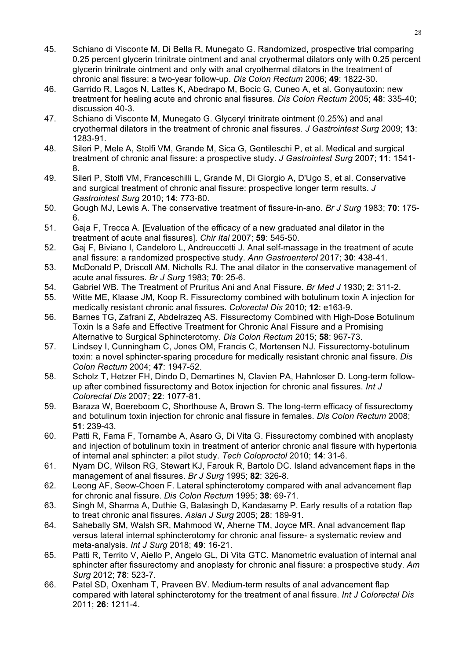- 45. Schiano di Visconte M, Di Bella R, Munegato G. Randomized, prospective trial comparing 0.25 percent glycerin trinitrate ointment and anal cryothermal dilators only with 0.25 percent glycerin trinitrate ointment and only with anal cryothermal dilators in the treatment of chronic anal fissure: a two-year follow-up. *Dis Colon Rectum* 2006; **49**: 1822-30.
- 46. Garrido R, Lagos N, Lattes K, Abedrapo M, Bocic G, Cuneo A, et al. Gonyautoxin: new treatment for healing acute and chronic anal fissures. *Dis Colon Rectum* 2005; **48**: 335-40; discussion 40-3.
- 47. Schiano di Visconte M, Munegato G. Glyceryl trinitrate ointment (0.25%) and anal cryothermal dilators in the treatment of chronic anal fissures. *J Gastrointest Surg* 2009; **13**: 1283-91.
- 48. Sileri P, Mele A, Stolfi VM, Grande M, Sica G, Gentileschi P, et al. Medical and surgical treatment of chronic anal fissure: a prospective study. *J Gastrointest Surg* 2007; **11**: 1541- 8.
- 49. Sileri P, Stolfi VM, Franceschilli L, Grande M, Di Giorgio A, D'Ugo S, et al. Conservative and surgical treatment of chronic anal fissure: prospective longer term results. *J Gastrointest Surg* 2010; **14**: 773-80.
- 50. Gough MJ, Lewis A. The conservative treatment of fissure-in-ano. *Br J Surg* 1983; **70**: 175- 6.
- 51. Gaja F, Trecca A. [Evaluation of the efficacy of a new graduated anal dilator in the treatment of acute anal fissures]. *Chir Ital* 2007; **59**: 545-50.
- 52. Gaj F, Biviano I, Candeloro L, Andreuccetti J. Anal self-massage in the treatment of acute anal fissure: a randomized prospective study. *Ann Gastroenterol* 2017; **30**: 438-41.
- 53. McDonald P, Driscoll AM, Nicholls RJ. The anal dilator in the conservative management of acute anal fissures. *Br J Surg* 1983; **70**: 25-6.
- 54. Gabriel WB. The Treatment of Pruritus Ani and Anal Fissure. *Br Med J* 1930; **2**: 311-2.
- 55. Witte ME, Klaase JM, Koop R. Fissurectomy combined with botulinum toxin A injection for medically resistant chronic anal fissures. *Colorectal Dis* 2010; **12**: e163-9.
- 56. Barnes TG, Zafrani Z, Abdelrazeq AS. Fissurectomy Combined with High-Dose Botulinum Toxin Is a Safe and Effective Treatment for Chronic Anal Fissure and a Promising Alternative to Surgical Sphincterotomy. *Dis Colon Rectum* 2015; **58**: 967-73.
- 57. Lindsey I, Cunningham C, Jones OM, Francis C, Mortensen NJ. Fissurectomy-botulinum toxin: a novel sphincter-sparing procedure for medically resistant chronic anal fissure. *Dis Colon Rectum* 2004; **47**: 1947-52.
- 58. Scholz T, Hetzer FH, Dindo D, Demartines N, Clavien PA, Hahnloser D. Long-term followup after combined fissurectomy and Botox injection for chronic anal fissures. *Int J Colorectal Dis* 2007; **22**: 1077-81.
- 59. Baraza W, Boereboom C, Shorthouse A, Brown S. The long-term efficacy of fissurectomy and botulinum toxin injection for chronic anal fissure in females. *Dis Colon Rectum* 2008; **51**: 239-43.
- 60. Patti R, Fama F, Tornambe A, Asaro G, Di Vita G. Fissurectomy combined with anoplasty and injection of botulinum toxin in treatment of anterior chronic anal fissure with hypertonia of internal anal sphincter: a pilot study. *Tech Coloproctol* 2010; **14**: 31-6.
- 61. Nyam DC, Wilson RG, Stewart KJ, Farouk R, Bartolo DC. Island advancement flaps in the management of anal fissures. *Br J Surg* 1995; **82**: 326-8.
- 62. Leong AF, Seow-Choen F. Lateral sphincterotomy compared with anal advancement flap for chronic anal fissure. *Dis Colon Rectum* 1995; **38**: 69-71.
- 63. Singh M, Sharma A, Duthie G, Balasingh D, Kandasamy P. Early results of a rotation flap to treat chronic anal fissures. *Asian J Surg* 2005; **28**: 189-91.
- 64. Sahebally SM, Walsh SR, Mahmood W, Aherne TM, Joyce MR. Anal advancement flap versus lateral internal sphincterotomy for chronic anal fissure- a systematic review and meta-analysis. *Int J Surg* 2018; **49**: 16-21.
- 65. Patti R, Territo V, Aiello P, Angelo GL, Di Vita GTC. Manometric evaluation of internal anal sphincter after fissurectomy and anoplasty for chronic anal fissure: a prospective study. *Am Surg* 2012; **78**: 523-7.
- 66. Patel SD, Oxenham T, Praveen BV. Medium-term results of anal advancement flap compared with lateral sphincterotomy for the treatment of anal fissure. *Int J Colorectal Dis* 2011; **26**: 1211-4.